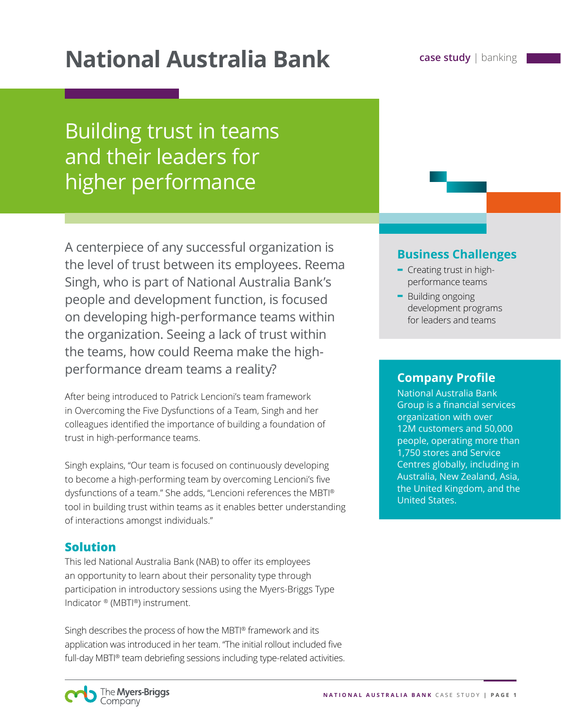# **National Australia Bank case study** | banking

## Building trust in teams and their leaders for higher performance

A centerpiece of any successful organization is the level of trust between its employees. Reema Singh, who is part of National Australia Bank's people and development function, is focused on developing high-performance teams within the organization. Seeing a lack of trust within the teams, how could Reema make the highperformance dream teams a reality?

After being introduced to Patrick Lencioni's team framework in Overcoming the Five Dysfunctions of a Team, Singh and her colleagues identified the importance of building a foundation of trust in high-performance teams.

Singh explains, "Our team is focused on continuously developing to become a high-performing team by overcoming Lencioni's five dysfunctions of a team." She adds, "Lencioni references the MBTI® tool in building trust within teams as it enables better understanding of interactions amongst individuals."

#### **Solution**

This led National Australia Bank (NAB) to offer its employees an opportunity to learn about their personality type through participation in introductory sessions using the Myers-Briggs Type Indicator ® (MBTI®) instrument.

Singh describes the process of how the MBTI® framework and its application was introduced in her team. "The initial rollout included five full-day MBTI® team debriefing sessions including type-related activities.

## **Business Challenges**

- **-** Creating trust in highperformance teams
- **-** Building ongoing development programs for leaders and teams

#### **Company Profile**

National Australia Bank Group is a financial services organization with over 12M customers and 50,000 people, operating more than 1,750 stores and Service Centres globally, including in Australia, New Zealand, Asia, the United Kingdom, and the United States.

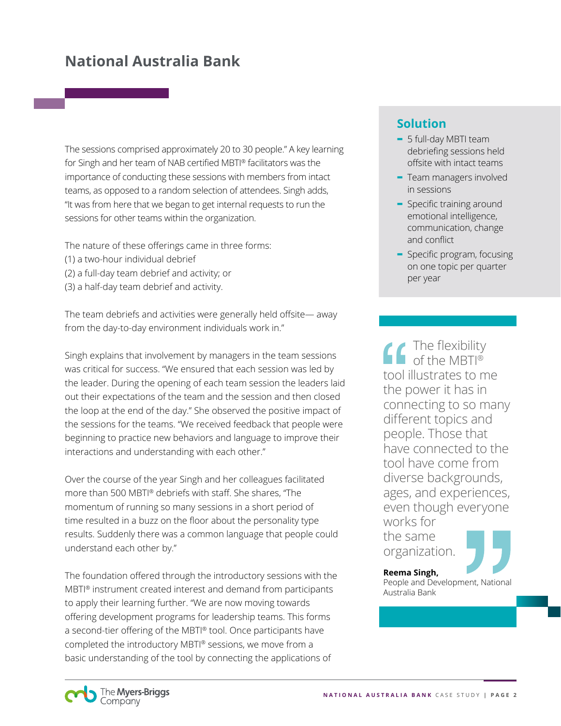The sessions comprised approximately 20 to 30 people." A key learning for Singh and her team of NAB certified MBTI® facilitators was the importance of conducting these sessions with members from intact teams, as opposed to a random selection of attendees. Singh adds, "It was from here that we began to get internal requests to run the sessions for other teams within the organization.

The nature of these offerings came in three forms:

- (1) a two-hour individual debrief
- (2) a full-day team debrief and activity; or
- (3) a half-day team debrief and activity.

The team debriefs and activities were generally held offsite— away from the day-to-day environment individuals work in."

Singh explains that involvement by managers in the team sessions was critical for success. "We ensured that each session was led by the leader. During the opening of each team session the leaders laid out their expectations of the team and the session and then closed the loop at the end of the day." She observed the positive impact of the sessions for the teams. "We received feedback that people were beginning to practice new behaviors and language to improve their interactions and understanding with each other."

Over the course of the year Singh and her colleagues facilitated more than 500 MBTI® debriefs with staff. She shares, "The momentum of running so many sessions in a short period of time resulted in a buzz on the floor about the personality type results. Suddenly there was a common language that people could understand each other by."

The foundation offered through the introductory sessions with the MBTI® instrument created interest and demand from participants to apply their learning further. "We are now moving towards offering development programs for leadership teams. This forms a second-tier offering of the MBTI® tool. Once participants have completed the introductory MBTI® sessions, we move from a basic understanding of the tool by connecting the applications of

## **Solution**

- **-** 5 full-day MBTI team debriefing sessions held offsite with intact teams
- **-** Team managers involved in sessions
- **-** Specific training around emotional intelligence, communication, change and conflict
- **-** Specific program, focusing on one topic per quarter per year

The flexibility of the MBTI® tool illustrates to me the power it has in connecting to so many different topics and people. Those that have connected to the tool have come from diverse backgrounds, ages, and experiences, even though everyone works for the same

organization.

**Reema Singh,**  People and Development, National Australia Bank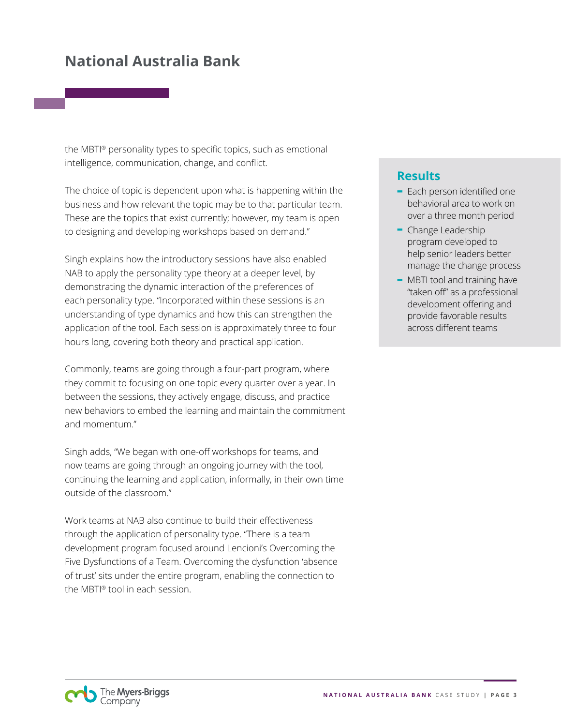the MBTI® personality types to specific topics, such as emotional intelligence, communication, change, and conflict.

The choice of topic is dependent upon what is happening within the business and how relevant the topic may be to that particular team. These are the topics that exist currently; however, my team is open to designing and developing workshops based on demand."

Singh explains how the introductory sessions have also enabled NAB to apply the personality type theory at a deeper level, by demonstrating the dynamic interaction of the preferences of each personality type. "Incorporated within these sessions is an understanding of type dynamics and how this can strengthen the application of the tool. Each session is approximately three to four hours long, covering both theory and practical application.

Commonly, teams are going through a four-part program, where they commit to focusing on one topic every quarter over a year. In between the sessions, they actively engage, discuss, and practice new behaviors to embed the learning and maintain the commitment and momentum."

Singh adds, "We began with one-off workshops for teams, and now teams are going through an ongoing journey with the tool, continuing the learning and application, informally, in their own time outside of the classroom."

Work teams at NAB also continue to build their effectiveness through the application of personality type. "There is a team development program focused around Lencioni's Overcoming the Five Dysfunctions of a Team. Overcoming the dysfunction 'absence of trust' sits under the entire program, enabling the connection to the MBTI® tool in each session.

## **Results**

- **-** Each person identified one behavioral area to work on over a three month period
- **-** Change Leadership program developed to help senior leaders better manage the change process
- **-** MBTI tool and training have "taken off" as a professional development offering and provide favorable results across different teams

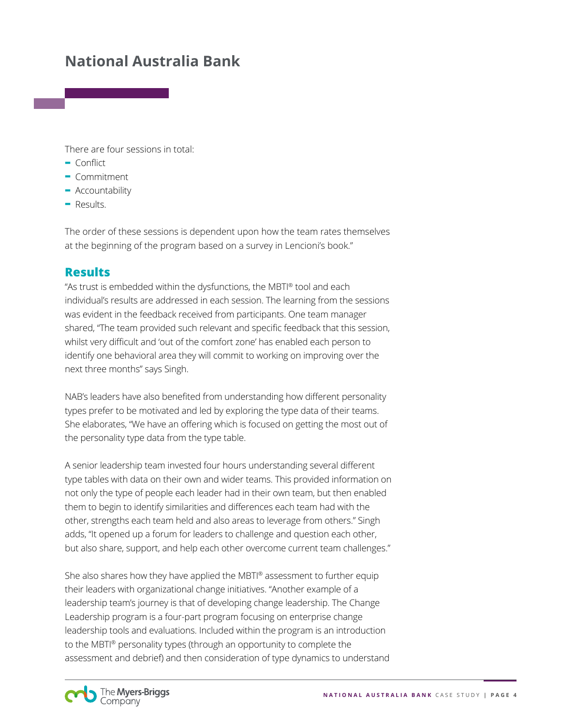There are four sessions in total:

- **-** Conflict
- **-** Commitment
- **-** Accountability
- **-** Results.

The order of these sessions is dependent upon how the team rates themselves at the beginning of the program based on a survey in Lencioni's book."

#### **Results**

"As trust is embedded within the dysfunctions, the MBTI® tool and each individual's results are addressed in each session. The learning from the sessions was evident in the feedback received from participants. One team manager shared, "The team provided such relevant and specific feedback that this session, whilst very difficult and 'out of the comfort zone' has enabled each person to identify one behavioral area they will commit to working on improving over the next three months" says Singh.

NAB's leaders have also benefited from understanding how different personality types prefer to be motivated and led by exploring the type data of their teams. She elaborates, "We have an offering which is focused on getting the most out of the personality type data from the type table.

A senior leadership team invested four hours understanding several different type tables with data on their own and wider teams. This provided information on not only the type of people each leader had in their own team, but then enabled them to begin to identify similarities and differences each team had with the other, strengths each team held and also areas to leverage from others." Singh adds, "It opened up a forum for leaders to challenge and question each other, but also share, support, and help each other overcome current team challenges."

She also shares how they have applied the MBTI® assessment to further equip their leaders with organizational change initiatives. "Another example of a leadership team's journey is that of developing change leadership. The Change Leadership program is a four-part program focusing on enterprise change leadership tools and evaluations. Included within the program is an introduction to the MBTI® personality types (through an opportunity to complete the assessment and debrief) and then consideration of type dynamics to understand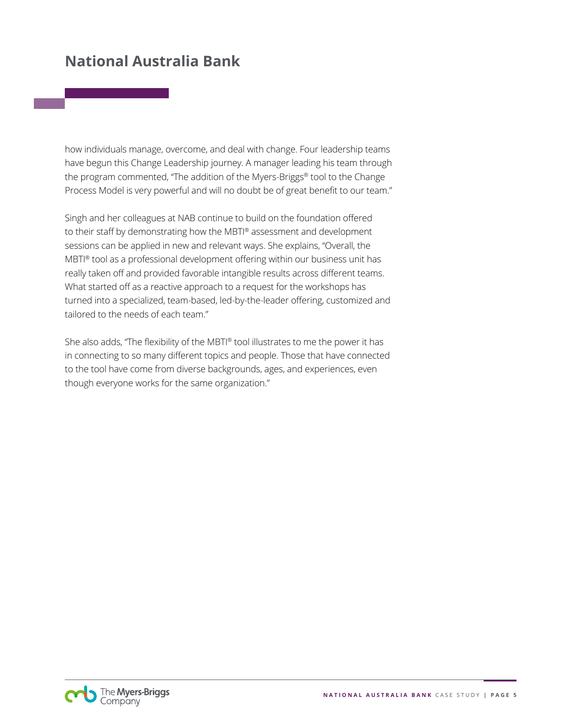how individuals manage, overcome, and deal with change. Four leadership teams have begun this Change Leadership journey. A manager leading his team through the program commented, "The addition of the Myers-Briggs® tool to the Change Process Model is very powerful and will no doubt be of great benefit to our team."

Singh and her colleagues at NAB continue to build on the foundation offered to their staff by demonstrating how the MBTI® assessment and development sessions can be applied in new and relevant ways. She explains, "Overall, the MBTI® tool as a professional development offering within our business unit has really taken off and provided favorable intangible results across different teams. What started off as a reactive approach to a request for the workshops has turned into a specialized, team-based, led-by-the-leader offering, customized and tailored to the needs of each team."

She also adds, "The flexibility of the MBTI® tool illustrates to me the power it has in connecting to so many different topics and people. Those that have connected to the tool have come from diverse backgrounds, ages, and experiences, even though everyone works for the same organization."